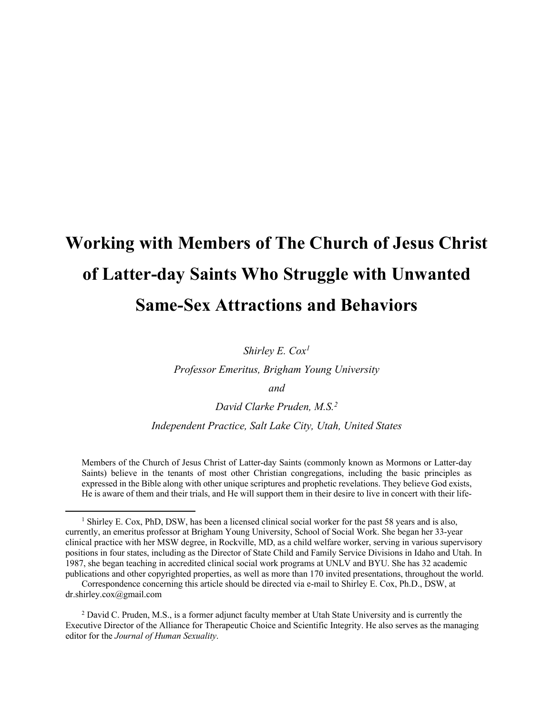# **Working with Members of The Church of Jesus Christ of Latter-day Saints Who Struggle with Unwanted Same-Sex Attractions and Behaviors**

*Shirley E. Cox1*

*Professor Emeritus, Brigham Young University*

*and*

*David Clarke Pruden, M.S.2*

*Independent Practice, Salt Lake City, Utah, United States*

Members of the Church of Jesus Christ of Latter-day Saints (commonly known as Mormons or Latter-day Saints) believe in the tenants of most other Christian congregations, including the basic principles as expressed in the Bible along with other unique scriptures and prophetic revelations. They believe God exists, He is aware of them and their trials, and He will support them in their desire to live in concert with their life-

l

<sup>1</sup> Shirley E. Cox, PhD, DSW, has been a licensed clinical social worker for the past 58 years and is also, currently, an emeritus professor at Brigham Young University, School of Social Work. She began her 33-year clinical practice with her MSW degree, in Rockville, MD, as a child welfare worker, serving in various supervisory positions in four states, including as the Director of State Child and Family Service Divisions in Idaho and Utah. In 1987, she began teaching in accredited clinical social work programs at UNLV and BYU. She has 32 academic publications and other copyrighted properties, as well as more than 170 invited presentations, throughout the world.

Correspondence concerning this article should be directed via e-mail to Shirley E. Cox, Ph.D., DSW, at dr.shirley.cox@gmail.com

<sup>&</sup>lt;sup>2</sup> David C. Pruden, M.S., is a former adjunct faculty member at Utah State University and is currently the Executive Director of the Alliance for Therapeutic Choice and Scientific Integrity. He also serves as the managing editor for the *Journal of Human Sexuality*.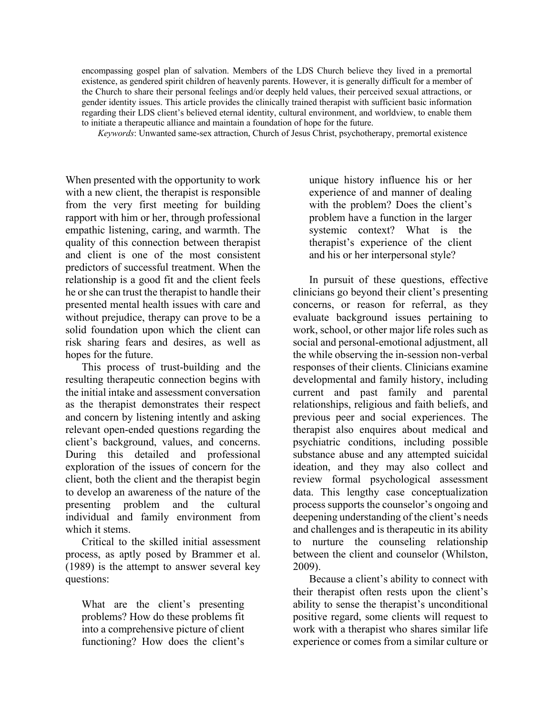encompassing gospel plan of salvation. Members of the LDS Church believe they lived in a premortal existence, as gendered spirit children of heavenly parents. However, it is generally difficult for a member of the Church to share their personal feelings and/or deeply held values, their perceived sexual attractions, or gender identity issues. This article provides the clinically trained therapist with sufficient basic information regarding their LDS client's believed eternal identity, cultural environment, and worldview, to enable them to initiate a therapeutic alliance and maintain a foundation of hope for the future.

*Keywords*: Unwanted same-sex attraction, Church of Jesus Christ, psychotherapy, premortal existence

When presented with the opportunity to work with a new client, the therapist is responsible from the very first meeting for building rapport with him or her, through professional empathic listening, caring, and warmth. The quality of this connection between therapist and client is one of the most consistent predictors of successful treatment. When the relationship is a good fit and the client feels he or she can trust the therapist to handle their presented mental health issues with care and without prejudice, therapy can prove to be a solid foundation upon which the client can risk sharing fears and desires, as well as hopes for the future.

This process of trust-building and the resulting therapeutic connection begins with the initial intake and assessment conversation as the therapist demonstrates their respect and concern by listening intently and asking relevant open-ended questions regarding the client's background, values, and concerns. During this detailed and professional exploration of the issues of concern for the client, both the client and the therapist begin to develop an awareness of the nature of the presenting problem and the cultural individual and family environment from which it stems.

Critical to the skilled initial assessment process, as aptly posed by Brammer et al. (1989) is the attempt to answer several key questions:

What are the client's presenting problems? How do these problems fit into a comprehensive picture of client functioning? How does the client's

unique history influence his or her experience of and manner of dealing with the problem? Does the client's problem have a function in the larger systemic context? What is the therapist's experience of the client and his or her interpersonal style?

In pursuit of these questions, effective clinicians go beyond their client's presenting concerns, or reason for referral, as they evaluate background issues pertaining to work, school, or other major life roles such as social and personal-emotional adjustment, all the while observing the in-session non-verbal responses of their clients. Clinicians examine developmental and family history, including current and past family and parental relationships, religious and faith beliefs, and previous peer and social experiences. The therapist also enquires about medical and psychiatric conditions, including possible substance abuse and any attempted suicidal ideation, and they may also collect and review formal psychological assessment data. This lengthy case conceptualization process supports the counselor's ongoing and deepening understanding of the client's needs and challenges and is therapeutic in its ability to nurture the counseling relationship between the client and counselor (Whilston, 2009).

Because a client's ability to connect with their therapist often rests upon the client's ability to sense the therapist's unconditional positive regard, some clients will request to work with a therapist who shares similar life experience or comes from a similar culture or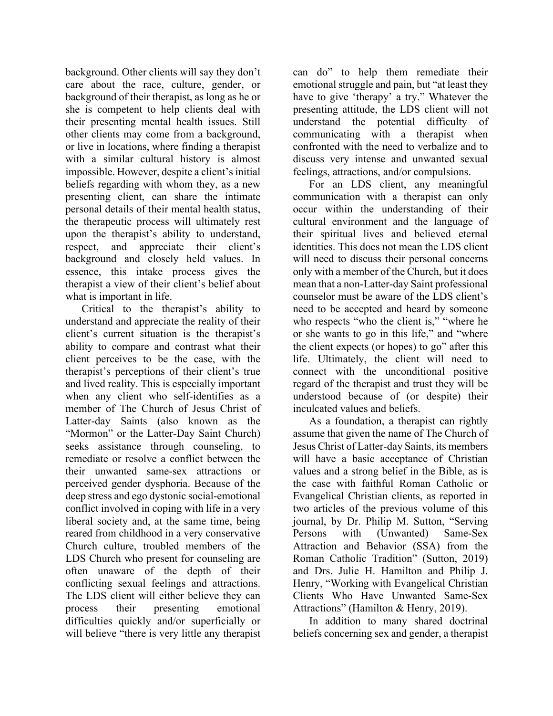background. Other clients will say they don't care about the race, culture, gender, or background of their therapist, as long as he or she is competent to help clients deal with their presenting mental health issues. Still other clients may come from a background, or live in locations, where finding a therapist with a similar cultural history is almost impossible. However, despite a client's initial beliefs regarding with whom they, as a new presenting client, can share the intimate personal details of their mental health status, the therapeutic process will ultimately rest upon the therapist's ability to understand, respect, and appreciate their client's background and closely held values. In essence, this intake process gives the therapist a view of their client's belief about what is important in life.

Critical to the therapist's ability to understand and appreciate the reality of their client's current situation is the therapist's ability to compare and contrast what their client perceives to be the case, with the therapist's perceptions of their client's true and lived reality. This is especially important when any client who self-identifies as a member of The Church of Jesus Christ of Latter-day Saints (also known as the "Mormon" or the Latter-Day Saint Church) seeks assistance through counseling, to remediate or resolve a conflict between the their unwanted same-sex attractions or perceived gender dysphoria. Because of the deep stress and ego dystonic social-emotional conflict involved in coping with life in a very liberal society and, at the same time, being reared from childhood in a very conservative Church culture, troubled members of the LDS Church who present for counseling are often unaware of the depth of their conflicting sexual feelings and attractions. The LDS client will either believe they can process their presenting emotional difficulties quickly and/or superficially or will believe "there is very little any therapist can do" to help them remediate their emotional struggle and pain, but "at least they have to give 'therapy' a try." Whatever the presenting attitude, the LDS client will not understand the potential difficulty of communicating with a therapist when confronted with the need to verbalize and to discuss very intense and unwanted sexual feelings, attractions, and/or compulsions.

For an LDS client, any meaningful communication with a therapist can only occur within the understanding of their cultural environment and the language of their spiritual lives and believed eternal identities. This does not mean the LDS client will need to discuss their personal concerns only with a member of the Church, but it does mean that a non-Latter-day Saint professional counselor must be aware of the LDS client's need to be accepted and heard by someone who respects "who the client is," "where he or she wants to go in this life," and "where the client expects (or hopes) to go" after this life. Ultimately, the client will need to connect with the unconditional positive regard of the therapist and trust they will be understood because of (or despite) their inculcated values and beliefs.

As a foundation, a therapist can rightly assume that given the name of The Church of Jesus Christ of Latter-day Saints, its members will have a basic acceptance of Christian values and a strong belief in the Bible, as is the case with faithful Roman Catholic or Evangelical Christian clients, as reported in two articles of the previous volume of this journal, by Dr. Philip M. Sutton, "Serving Persons with (Unwanted) Same-Sex Attraction and Behavior (SSA) from the Roman Catholic Tradition" (Sutton, 2019) and Drs. Julie H. Hamilton and Philip J. Henry, "Working with Evangelical Christian Clients Who Have Unwanted Same-Sex Attractions" (Hamilton & Henry, 2019).

In addition to many shared doctrinal beliefs concerning sex and gender, a therapist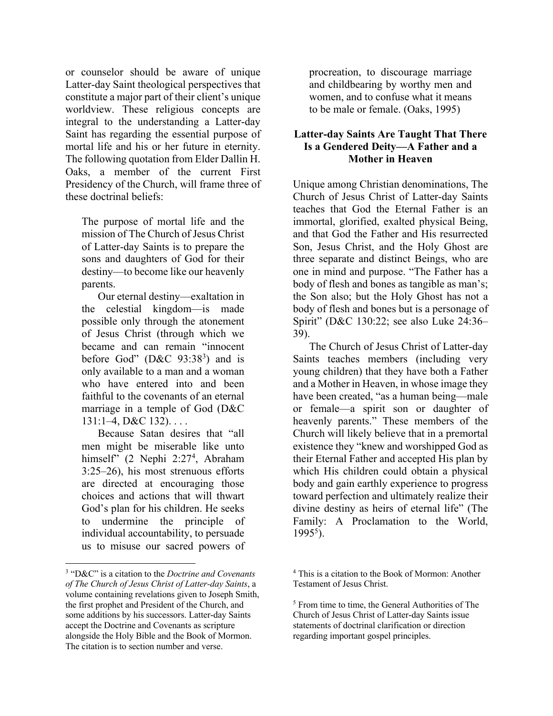or counselor should be aware of unique Latter-day Saint theological perspectives that constitute a major part of their client's unique worldview. These religious concepts are integral to the understanding a Latter-day Saint has regarding the essential purpose of mortal life and his or her future in eternity. The following quotation from Elder Dallin H. Oaks, a member of the current First Presidency of the Church, will frame three of these doctrinal beliefs:

The purpose of mortal life and the mission of The Church of Jesus Christ of Latter-day Saints is to prepare the sons and daughters of God for their destiny—to become like our heavenly parents.

Our eternal destiny—exaltation in the celestial kingdom—is made possible only through the atonement of Jesus Christ (through which we became and can remain "innocent before God"  $(D&C 93:38<sup>3</sup>)$  and is only available to a man and a woman who have entered into and been faithful to the covenants of an eternal marriage in a temple of God (D&C  $131:1-4$ , D&C  $132$ )....

Because Satan desires that "all men might be miserable like unto himself" (2 Nephi 2:27<sup>4</sup>, Abraham 3:25–26), his most strenuous efforts are directed at encouraging those choices and actions that will thwart God's plan for his children. He seeks to undermine the principle of individual accountability, to persuade us to misuse our sacred powers of

 $\overline{a}$ 

procreation, to discourage marriage and childbearing by worthy men and women, and to confuse what it means to be male or female. (Oaks, 1995)

#### **Latter-day Saints Are Taught That There Is a Gendered Deity—A Father and a Mother in Heaven**

Unique among Christian denominations, The Church of Jesus Christ of Latter-day Saints teaches that God the Eternal Father is an immortal, glorified, exalted physical Being, and that God the Father and His resurrected Son, Jesus Christ, and the Holy Ghost are three separate and distinct Beings, who are one in mind and purpose. "The Father has a body of flesh and bones as tangible as man's; the Son also; but the Holy Ghost has not a body of flesh and bones but is a personage of Spirit" (D&C 130:22; see also Luke 24:36– 39).

The Church of Jesus Christ of Latter-day Saints teaches members (including very young children) that they have both a Father and a Mother in Heaven, in whose image they have been created, "as a human being—male or female—a spirit son or daughter of heavenly parents." These members of the Church will likely believe that in a premortal existence they "knew and worshipped God as their Eternal Father and accepted His plan by which His children could obtain a physical body and gain earthly experience to progress toward perfection and ultimately realize their divine destiny as heirs of eternal life" (The Family: A Proclamation to the World,  $1995^5$ ).

<sup>3</sup> "D&C" is a citation to the *Doctrine and Covenants of The Church of Jesus Christ of Latter-day Saints*, a volume containing revelations given to Joseph Smith, the first prophet and President of the Church, and some additions by his successors. Latter-day Saints accept the Doctrine and Covenants as scripture alongside the Holy Bible and the Book of Mormon. The citation is to section number and verse.

<sup>4</sup> This is a citation to the Book of Mormon: Another Testament of Jesus Christ.

<sup>5</sup> From time to time, the General Authorities of The Church of Jesus Christ of Latter-day Saints issue statements of doctrinal clarification or direction regarding important gospel principles.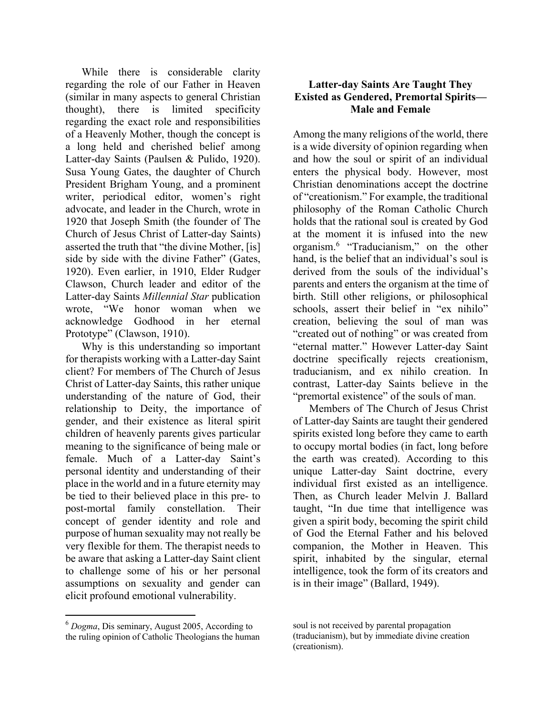While there is considerable clarity regarding the role of our Father in Heaven (similar in many aspects to general Christian thought), there is limited specificity regarding the exact role and responsibilities of a Heavenly Mother, though the concept is a long held and cherished belief among Latter-day Saints (Paulsen & Pulido, 1920). Susa Young Gates, the daughter of Church President Brigham Young, and a prominent writer, periodical editor, women's right advocate, and leader in the Church, wrote in 1920 that Joseph Smith (the founder of The Church of Jesus Christ of Latter-day Saints) asserted the truth that "the divine Mother, [is] side by side with the divine Father" (Gates, 1920). Even earlier, in 1910, Elder Rudger Clawson, Church leader and editor of the Latter-day Saints *Millennial Star* publication wrote, "We honor woman when we acknowledge Godhood in her eternal Prototype" (Clawson, 1910).

Why is this understanding so important for therapists working with a Latter-day Saint client? For members of The Church of Jesus Christ of Latter-day Saints, this rather unique understanding of the nature of God, their relationship to Deity, the importance of gender, and their existence as literal spirit children of heavenly parents gives particular meaning to the significance of being male or female. Much of a Latter-day Saint's personal identity and understanding of their place in the world and in a future eternity may be tied to their believed place in this pre- to post-mortal family constellation. Their concept of gender identity and role and purpose of human sexuality may not really be very flexible for them. The therapist needs to be aware that asking a Latter-day Saint client to challenge some of his or her personal assumptions on sexuality and gender can elicit profound emotional vulnerability.

## **Latter-day Saints Are Taught They Existed as Gendered, Premortal Spirits— Male and Female**

Among the many religions of the world, there is a wide diversity of opinion regarding when and how the soul or spirit of an individual enters the physical body. However, most Christian denominations accept the doctrine of "creationism." For example, the traditional philosophy of the Roman Catholic Church holds that the rational soul is created by God at the moment it is infused into the new organism.6 "Traducianism," on the other hand, is the belief that an individual's soul is derived from the souls of the individual's parents and enters the organism at the time of birth. Still other religions, or philosophical schools, assert their belief in "ex nihilo" creation, believing the soul of man was "created out of nothing" or was created from "eternal matter." However Latter-day Saint doctrine specifically rejects creationism, traducianism, and ex nihilo creation. In contrast, Latter-day Saints believe in the "premortal existence" of the souls of man.

Members of The Church of Jesus Christ of Latter-day Saints are taught their gendered spirits existed long before they came to earth to occupy mortal bodies (in fact, long before the earth was created). According to this unique Latter-day Saint doctrine, every individual first existed as an intelligence. Then, as Church leader Melvin J. Ballard taught, "In due time that intelligence was given a spirit body, becoming the spirit child of God the Eternal Father and his beloved companion, the Mother in Heaven. This spirit, inhabited by the singular, eternal intelligence, took the form of its creators and is in their image" (Ballard, 1949).

 $\overline{a}$ 

<sup>6</sup> *Dogma*, Dis seminary, August 2005, According to the ruling opinion of Catholic Theologians the human

soul is not received by parental propagation (traducianism), but by immediate divine creation (creationism).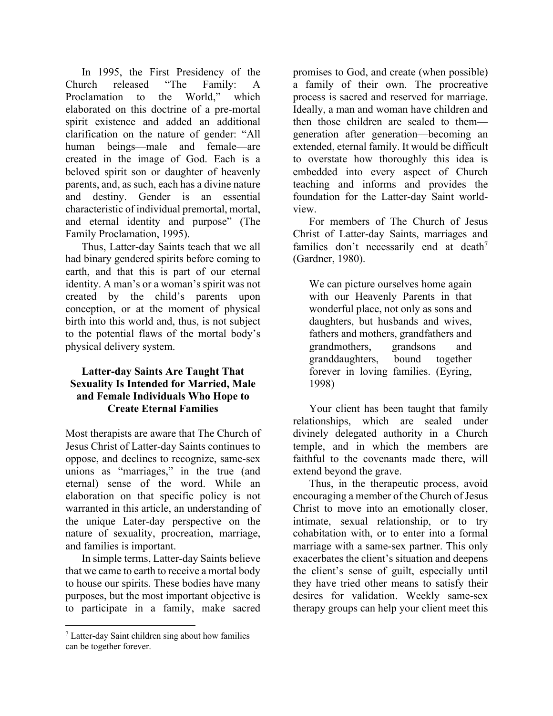In 1995, the First Presidency of the Church released "The Family: A Proclamation to the World," which elaborated on this doctrine of a pre-mortal spirit existence and added an additional clarification on the nature of gender: "All human beings—male and female—are created in the image of God. Each is a beloved spirit son or daughter of heavenly parents, and, as such, each has a divine nature and destiny. Gender is an essential characteristic of individual premortal, mortal, and eternal identity and purpose" (The Family Proclamation, 1995).

Thus, Latter-day Saints teach that we all had binary gendered spirits before coming to earth, and that this is part of our eternal identity. A man's or a woman's spirit was not created by the child's parents upon conception, or at the moment of physical birth into this world and, thus, is not subject to the potential flaws of the mortal body's physical delivery system.

#### **Latter-day Saints Are Taught That Sexuality Is Intended for Married, Male and Female Individuals Who Hope to Create Eternal Families**

Most therapists are aware that The Church of Jesus Christ of Latter-day Saints continues to oppose, and declines to recognize, same-sex unions as "marriages," in the true (and eternal) sense of the word. While an elaboration on that specific policy is not warranted in this article, an understanding of the unique Later-day perspective on the nature of sexuality, procreation, marriage, and families is important.

In simple terms, Latter-day Saints believe that we came to earth to receive a mortal body to house our spirits. These bodies have many purposes, but the most important objective is to participate in a family, make sacred

 $\overline{\phantom{a}}$ 

promises to God, and create (when possible) a family of their own. The procreative process is sacred and reserved for marriage. Ideally, a man and woman have children and then those children are sealed to them generation after generation—becoming an extended, eternal family. It would be difficult to overstate how thoroughly this idea is embedded into every aspect of Church teaching and informs and provides the foundation for the Latter-day Saint worldview.

For members of The Church of Jesus Christ of Latter-day Saints, marriages and families don't necessarily end at death<sup>7</sup> (Gardner, 1980).

We can picture ourselves home again with our Heavenly Parents in that wonderful place, not only as sons and daughters, but husbands and wives, fathers and mothers, grandfathers and grandmothers, grandsons and granddaughters, bound together forever in loving families. (Eyring, 1998)

Your client has been taught that family relationships, which are sealed under divinely delegated authority in a Church temple, and in which the members are faithful to the covenants made there, will extend beyond the grave.

Thus, in the therapeutic process, avoid encouraging a member of the Church of Jesus Christ to move into an emotionally closer, intimate, sexual relationship, or to try cohabitation with, or to enter into a formal marriage with a same-sex partner. This only exacerbates the client's situation and deepens the client's sense of guilt, especially until they have tried other means to satisfy their desires for validation. Weekly same-sex therapy groups can help your client meet this

<sup>7</sup> Latter-day Saint children sing about how families can be together forever.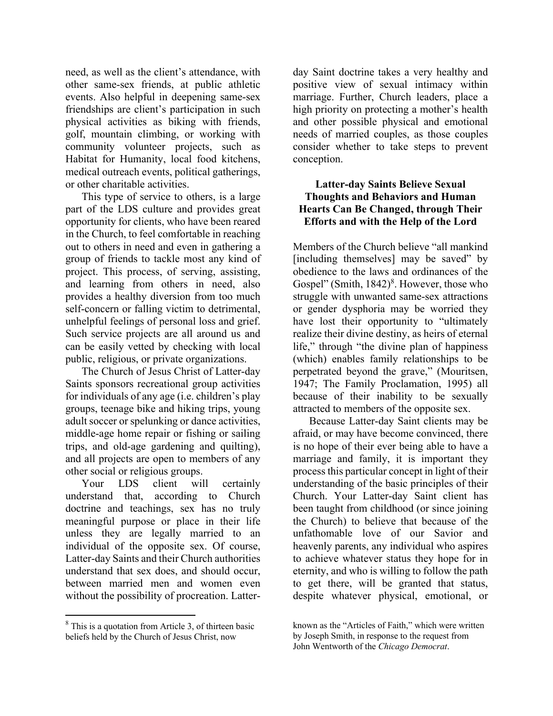need, as well as the client's attendance, with other same-sex friends, at public athletic events. Also helpful in deepening same-sex friendships are client's participation in such physical activities as biking with friends, golf, mountain climbing, or working with community volunteer projects, such as Habitat for Humanity, local food kitchens, medical outreach events, political gatherings, or other charitable activities.

This type of service to others, is a large part of the LDS culture and provides great opportunity for clients, who have been reared in the Church, to feel comfortable in reaching out to others in need and even in gathering a group of friends to tackle most any kind of project. This process, of serving, assisting, and learning from others in need, also provides a healthy diversion from too much self-concern or falling victim to detrimental, unhelpful feelings of personal loss and grief. Such service projects are all around us and can be easily vetted by checking with local public, religious, or private organizations.

The Church of Jesus Christ of Latter-day Saints sponsors recreational group activities for individuals of any age (i.e. children's play groups, teenage bike and hiking trips, young adult soccer or spelunking or dance activities, middle-age home repair or fishing or sailing trips, and old-age gardening and quilting), and all projects are open to members of any other social or religious groups.

Your LDS client will certainly understand that, according to Church doctrine and teachings, sex has no truly meaningful purpose or place in their life unless they are legally married to an individual of the opposite sex. Of course, Latter-day Saints and their Church authorities understand that sex does, and should occur, between married men and women even without the possibility of procreation. Latter-

 $\overline{a}$ 

day Saint doctrine takes a very healthy and positive view of sexual intimacy within marriage. Further, Church leaders, place a high priority on protecting a mother's health and other possible physical and emotional needs of married couples, as those couples consider whether to take steps to prevent conception.

### **Latter-day Saints Believe Sexual Thoughts and Behaviors and Human Hearts Can Be Changed, through Their Efforts and with the Help of the Lord**

Members of the Church believe "all mankind [including themselves] may be saved" by obedience to the laws and ordinances of the Gospel" (Smith,  $1842$ )<sup>8</sup>. However, those who struggle with unwanted same-sex attractions or gender dysphoria may be worried they have lost their opportunity to "ultimately" realize their divine destiny, as heirs of eternal life," through "the divine plan of happiness (which) enables family relationships to be perpetrated beyond the grave," (Mouritsen, 1947; The Family Proclamation, 1995) all because of their inability to be sexually attracted to members of the opposite sex.

Because Latter-day Saint clients may be afraid, or may have become convinced, there is no hope of their ever being able to have a marriage and family, it is important they process this particular concept in light of their understanding of the basic principles of their Church. Your Latter-day Saint client has been taught from childhood (or since joining the Church) to believe that because of the unfathomable love of our Savior and heavenly parents, any individual who aspires to achieve whatever status they hope for in eternity, and who is willing to follow the path to get there, will be granted that status, despite whatever physical, emotional, or

 $8$  This is a quotation from Article 3, of thirteen basic beliefs held by the Church of Jesus Christ, now

known as the "Articles of Faith," which were written by Joseph Smith, in response to the request from John Wentworth of the *Chicago Democrat*.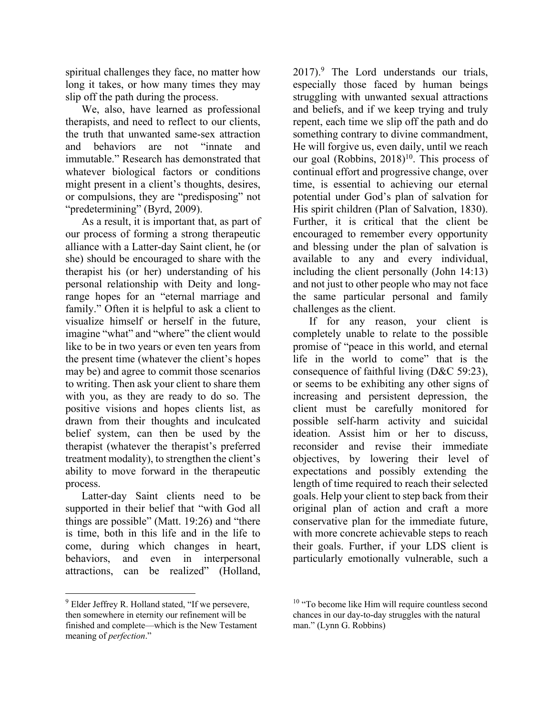spiritual challenges they face, no matter how long it takes, or how many times they may slip off the path during the process.

We, also, have learned as professional therapists, and need to reflect to our clients, the truth that unwanted same-sex attraction and behaviors are not "innate and immutable." Research has demonstrated that whatever biological factors or conditions might present in a client's thoughts, desires, or compulsions, they are "predisposing" not "predetermining" (Byrd, 2009).

As a result, it is important that, as part of our process of forming a strong therapeutic alliance with a Latter-day Saint client, he (or she) should be encouraged to share with the therapist his (or her) understanding of his personal relationship with Deity and longrange hopes for an "eternal marriage and family." Often it is helpful to ask a client to visualize himself or herself in the future, imagine "what" and "where" the client would like to be in two years or even ten years from the present time (whatever the client's hopes may be) and agree to commit those scenarios to writing. Then ask your client to share them with you, as they are ready to do so. The positive visions and hopes clients list, as drawn from their thoughts and inculcated belief system, can then be used by the therapist (whatever the therapist's preferred treatment modality), to strengthen the client's ability to move forward in the therapeutic process.

Latter-day Saint clients need to be supported in their belief that "with God all things are possible" (Matt. 19:26) and "there is time, both in this life and in the life to come, during which changes in heart, behaviors, and even in interpersonal attractions, can be realized" (Holland,

 $2017$ .<sup>9</sup> The Lord understands our trials, especially those faced by human beings struggling with unwanted sexual attractions and beliefs, and if we keep trying and truly repent, each time we slip off the path and do something contrary to divine commandment, He will forgive us, even daily, until we reach our goal (Robbins,  $2018$ )<sup>10</sup>. This process of continual effort and progressive change, over time, is essential to achieving our eternal potential under God's plan of salvation for His spirit children (Plan of Salvation, 1830). Further, it is critical that the client be encouraged to remember every opportunity and blessing under the plan of salvation is available to any and every individual, including the client personally (John 14:13) and not just to other people who may not face the same particular personal and family challenges as the client.

If for any reason, your client is completely unable to relate to the possible promise of "peace in this world, and eternal life in the world to come" that is the consequence of faithful living (D&C 59:23), or seems to be exhibiting any other signs of increasing and persistent depression, the client must be carefully monitored for possible self-harm activity and suicidal ideation. Assist him or her to discuss, reconsider and revise their immediate objectives, by lowering their level of expectations and possibly extending the length of time required to reach their selected goals. Help your client to step back from their original plan of action and craft a more conservative plan for the immediate future, with more concrete achievable steps to reach their goals. Further, if your LDS client is particularly emotionally vulnerable, such a

 $\overline{a}$ 

 $9$  Elder Jeffrey R. Holland stated, "If we persevere, then somewhere in eternity our refinement will be finished and complete—which is the New Testament meaning of *perfection*."

 $10$  "To become like Him will require countless second chances in our day-to-day struggles with the natural man." (Lynn G. Robbins)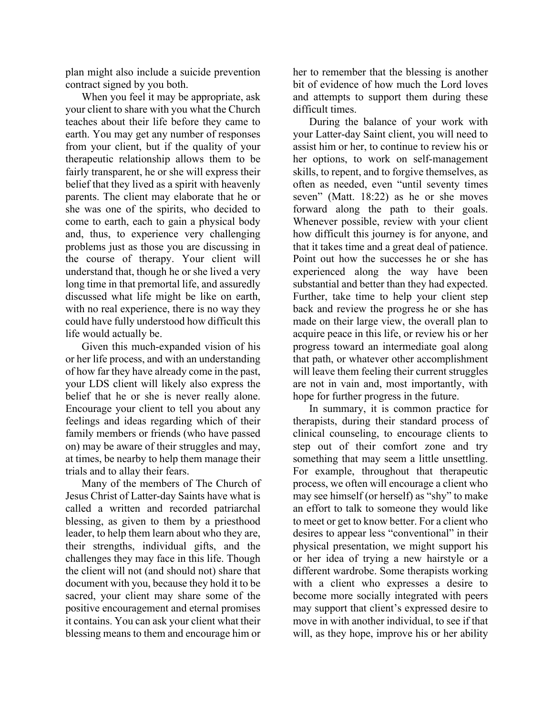plan might also include a suicide prevention contract signed by you both.

When you feel it may be appropriate, ask your client to share with you what the Church teaches about their life before they came to earth. You may get any number of responses from your client, but if the quality of your therapeutic relationship allows them to be fairly transparent, he or she will express their belief that they lived as a spirit with heavenly parents. The client may elaborate that he or she was one of the spirits, who decided to come to earth, each to gain a physical body and, thus, to experience very challenging problems just as those you are discussing in the course of therapy. Your client will understand that, though he or she lived a very long time in that premortal life, and assuredly discussed what life might be like on earth, with no real experience, there is no way they could have fully understood how difficult this life would actually be.

Given this much-expanded vision of his or her life process, and with an understanding of how far they have already come in the past, your LDS client will likely also express the belief that he or she is never really alone. Encourage your client to tell you about any feelings and ideas regarding which of their family members or friends (who have passed on) may be aware of their struggles and may, at times, be nearby to help them manage their trials and to allay their fears.

Many of the members of The Church of Jesus Christ of Latter-day Saints have what is called a written and recorded patriarchal blessing, as given to them by a priesthood leader, to help them learn about who they are, their strengths, individual gifts, and the challenges they may face in this life. Though the client will not (and should not) share that document with you, because they hold it to be sacred, your client may share some of the positive encouragement and eternal promises it contains. You can ask your client what their blessing means to them and encourage him or

her to remember that the blessing is another bit of evidence of how much the Lord loves and attempts to support them during these difficult times.

During the balance of your work with your Latter-day Saint client, you will need to assist him or her, to continue to review his or her options, to work on self-management skills, to repent, and to forgive themselves, as often as needed, even "until seventy times seven" (Matt. 18:22) as he or she moves forward along the path to their goals. Whenever possible, review with your client how difficult this journey is for anyone, and that it takes time and a great deal of patience. Point out how the successes he or she has experienced along the way have been substantial and better than they had expected. Further, take time to help your client step back and review the progress he or she has made on their large view, the overall plan to acquire peace in this life, or review his or her progress toward an intermediate goal along that path, or whatever other accomplishment will leave them feeling their current struggles are not in vain and, most importantly, with hope for further progress in the future.

In summary, it is common practice for therapists, during their standard process of clinical counseling, to encourage clients to step out of their comfort zone and try something that may seem a little unsettling. For example, throughout that therapeutic process, we often will encourage a client who may see himself (or herself) as "shy" to make an effort to talk to someone they would like to meet or get to know better. For a client who desires to appear less "conventional" in their physical presentation, we might support his or her idea of trying a new hairstyle or a different wardrobe. Some therapists working with a client who expresses a desire to become more socially integrated with peers may support that client's expressed desire to move in with another individual, to see if that will, as they hope, improve his or her ability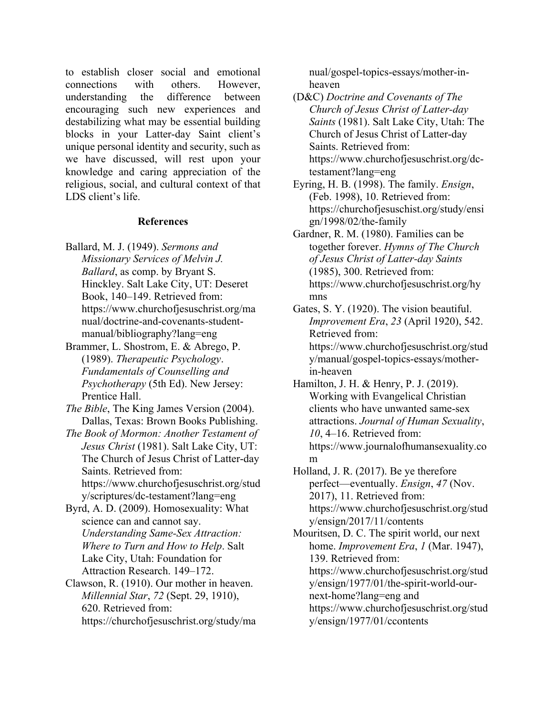to establish closer social and emotional connections with others. However, understanding the difference between encouraging such new experiences and destabilizing what may be essential building blocks in your Latter-day Saint client's unique personal identity and security, such as we have discussed, will rest upon your knowledge and caring appreciation of the religious, social, and cultural context of that LDS client's life.

#### **References**

- Ballard, M. J. (1949). *Sermons and Missionary Services of Melvin J. Ballard*, as comp. by Bryant S. Hinckley. Salt Lake City, UT: Deseret Book, 140–149. Retrieved from: https://www.churchofjesuschrist.org/ma nual/doctrine-and-covenants-studentmanual/bibliography?lang=eng
- Brammer, L. Shostrom, E. & Abrego, P. (1989). *Therapeutic Psychology*. *Fundamentals of Counselling and Psychotherapy* (5th Ed). New Jersey: Prentice Hall.
- *The Bible*, The King James Version (2004). Dallas, Texas: Brown Books Publishing.

*The Book of Mormon: Another Testament of Jesus Christ* (1981). Salt Lake City, UT: The Church of Jesus Christ of Latter-day Saints. Retrieved from: https://www.churchofjesuschrist.org/stud y/scriptures/dc-testament?lang=eng

Byrd, A. D. (2009). Homosexuality: What science can and cannot say. *Understanding Same-Sex Attraction: Where to Turn and How to Help*. Salt Lake City, Utah: Foundation for Attraction Research. 149–172.

Clawson, R. (1910). Our mother in heaven. *Millennial Star*, *72* (Sept. 29, 1910), 620. Retrieved from: https://churchofjesuschrist.org/study/ma

nual/gospel-topics-essays/mother-inheaven

(D&C) *Doctrine and Covenants of The Church of Jesus Christ of Latter-day Saints* (1981). Salt Lake City, Utah: The Church of Jesus Christ of Latter-day Saints. Retrieved from: https://www.churchofjesuschrist.org/dctestament?lang=eng

Eyring, H. B. (1998). The family. *Ensign*, (Feb. 1998), 10. Retrieved from: https://churchofjesuschist.org/study/ensi gn/1998/02/the-family

Gardner, R. M. (1980). Families can be together forever. *Hymns of The Church of Jesus Christ of Latter-day Saints* (1985), 300. Retrieved from: https://www.churchofjesuschrist.org/hy mns

Gates, S. Y. (1920). The vision beautiful. *Improvement Era*, *23* (April 1920), 542. Retrieved from: https://www.churchofjesuschrist.org/stud y/manual/gospel-topics-essays/motherin-heaven

Hamilton, J. H. & Henry, P. J. (2019). Working with Evangelical Christian clients who have unwanted same-sex attractions. *Journal of Human Sexuality*, *10*, 4–16. Retrieved from: https://www.journalofhumansexuality.co m

Holland, J. R. (2017). Be ye therefore perfect—eventually. *Ensign*, *47* (Nov. 2017), 11. Retrieved from: https://www.churchofjesuschrist.org/stud y/ensign/2017/11/contents

Mouritsen, D. C. The spirit world, our next home. *Improvement Era*, *1* (Mar. 1947), 139. Retrieved from: https://www.churchofjesuschrist.org/stud y/ensign/1977/01/the-spirit-world-ournext-home?lang=eng and https://www.churchofjesuschrist.org/stud y/ensign/1977/01/ccontents